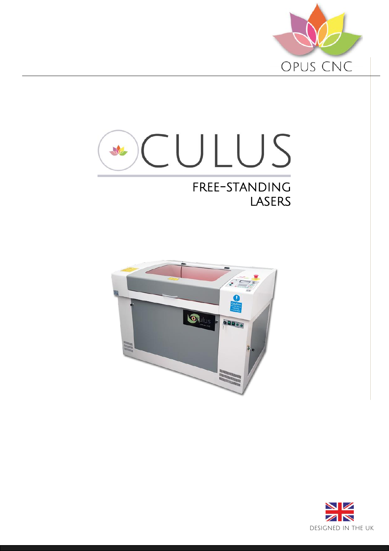



### free-standing **LASERS**



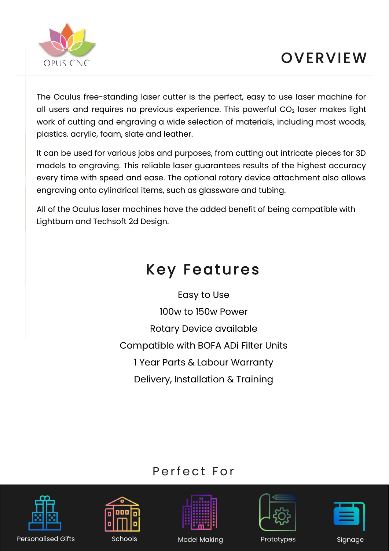

The Oculus free-standing laser cutter is the perfect, easy to use laser machine for all users and requires no previous experience. This powerful CO<sub>2</sub> laser makes light work of cutting and engraving a wide selection of materials, including most woods, plastics. acrylic, foam, slate and leather.

It can be used for various jobs and purposes, from cutting out intricate pieces for 3D models to engraving. This reliable laser guarantees results of the highest accuracy every time with speed and ease. The optional rotary device attachment also allows engraving onto cylindrical items, such as glassware and tubing.

All of the Oculus laser machines have the added benefit of being compatible with Lightburn and Techsoft 2d Design.

### Key Features

Easy to Use 100w to 150w Power Rotary Device available Compatible with BOFA ADi Filter Units 1 Year Parts & Labour Warranty Delivery, Installation & Training

### Perfect For











Model Making **Prototypes** Signage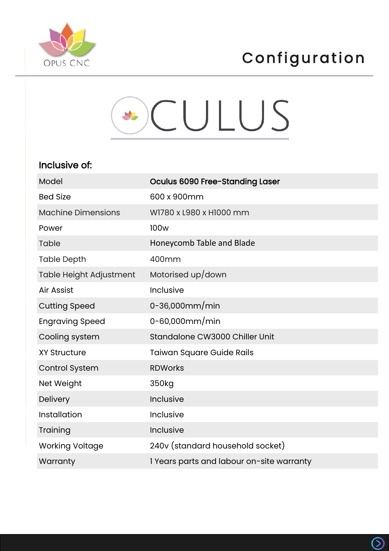



| Model                     | Oculus 6090 Free-Standing Laser           |
|---------------------------|-------------------------------------------|
| <b>Bed Size</b>           | 600 x 900mm                               |
| <b>Machine Dimensions</b> | W1780 x L980 x H1000 mm                   |
| Power                     | 100 <sub>w</sub>                          |
| Table                     | Honeycomb Table and Blade                 |
| <b>Table Depth</b>        | 400mm                                     |
| Table Height Adjustment   | Motorised up/down                         |
| Air Assist                | Inclusive                                 |
| <b>Cutting Speed</b>      | 0-36,000 $mm/min$                         |
| <b>Engraving Speed</b>    | $0 - 60,000$ mm/min                       |
| Cooling system            | Standalone CW3000 Chiller Unit            |
| <b>XY Structure</b>       | <b>Taiwan Square Guide Rails</b>          |
| <b>Control System</b>     | <b>RDWorks</b>                            |
| Net Weight                | 350kg                                     |
| Delivery                  | Inclusive                                 |
| Installation              | Inclusive                                 |
| Training                  | Inclusive                                 |
| <b>Working Voltage</b>    | 240v (standard household socket)          |
| Warranty                  | 1 Years parts and labour on-site warranty |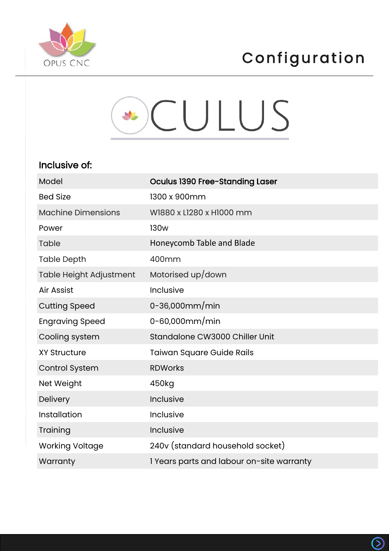



| Model                     | Oculus 1390 Free-Standing Laser           |
|---------------------------|-------------------------------------------|
| <b>Bed Size</b>           | 1300 x 900mm                              |
| <b>Machine Dimensions</b> | W1880 x L1280 x H1000 mm                  |
| Power                     | <b>130w</b>                               |
| Table                     | Honeycomb Table and Blade                 |
| <b>Table Depth</b>        | 400mm                                     |
| Table Height Adjustment   | Motorised up/down                         |
| Air Assist                | Inclusive                                 |
| <b>Cutting Speed</b>      | 0-36,000 $mm/min$                         |
| <b>Engraving Speed</b>    | 0-60,000 $mm/min$                         |
| Cooling system            | Standalone CW3000 Chiller Unit            |
| <b>XY Structure</b>       | <b>Taiwan Square Guide Rails</b>          |
| Control System            | <b>RDWorks</b>                            |
| Net Weight                | 450kg                                     |
| Delivery                  | Inclusive                                 |
| Installation              | Inclusive                                 |
| Training                  | Inclusive                                 |
| <b>Working Voltage</b>    | 240v (standard household socket)          |
| Warranty                  | 1 Years parts and labour on-site warranty |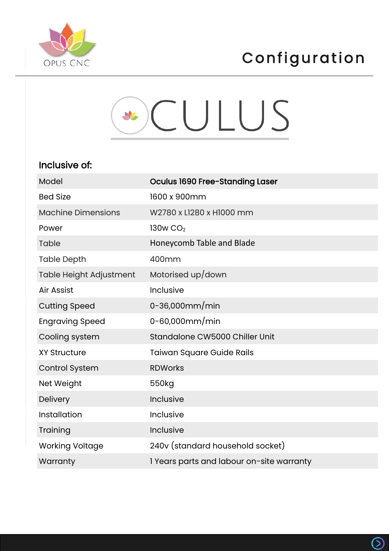



| Model                     | Oculus 1690 Free-Standing Laser           |
|---------------------------|-------------------------------------------|
| <b>Bed Size</b>           | 1600 x 900mm                              |
| <b>Machine Dimensions</b> | W2780 x L1280 x H1000 mm                  |
| Power                     | 130w CO <sub>2</sub>                      |
| Table                     | Honeycomb Table and Blade                 |
| <b>Table Depth</b>        | 400mm                                     |
| Table Height Adjustment   | Motorised up/down                         |
| Air Assist                | Inclusive                                 |
| <b>Cutting Speed</b>      | 0-36,000 $mm/min$                         |
| <b>Engraving Speed</b>    | $0 - 60,000$ mm/min                       |
| Cooling system            | Standalone CW5000 Chiller Unit            |
| <b>XY Structure</b>       | <b>Taiwan Square Guide Rails</b>          |
| <b>Control System</b>     | <b>RDWorks</b>                            |
| Net Weight                | 550kg                                     |
| Delivery                  | Inclusive                                 |
| Installation              | Inclusive                                 |
| Training                  | Inclusive                                 |
| <b>Working Voltage</b>    | 240v (standard household socket)          |
| Warranty                  | 1 Years parts and labour on-site warranty |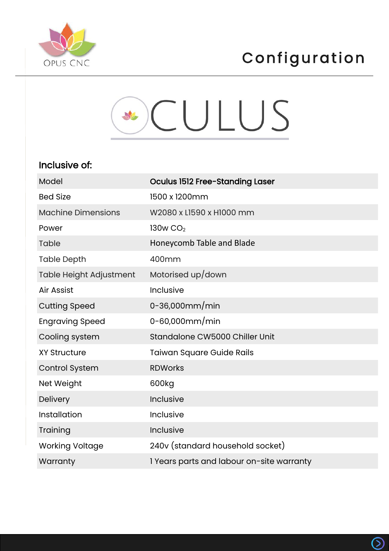



| Model                     | Oculus 1512 Free-Standing Laser           |
|---------------------------|-------------------------------------------|
| <b>Bed Size</b>           | 1500 x 1200mm                             |
| <b>Machine Dimensions</b> | W2080 x L1590 x H1000 mm                  |
| Power                     | 130w CO <sub>2</sub>                      |
| <b>Table</b>              | Honeycomb Table and Blade                 |
| <b>Table Depth</b>        | 400mm                                     |
| Table Height Adjustment   | Motorised up/down                         |
| Air Assist                | Inclusive                                 |
| <b>Cutting Speed</b>      | 0-36,000 $mm/min$                         |
| <b>Engraving Speed</b>    | $0 - 60,000$ mm/min                       |
| Cooling system            | Standalone CW5000 Chiller Unit            |
| <b>XY Structure</b>       | <b>Taiwan Square Guide Rails</b>          |
| <b>Control System</b>     | <b>RDWorks</b>                            |
| Net Weight                | 600kg                                     |
| Delivery                  | Inclusive                                 |
| Installation              | Inclusive                                 |
| Training                  | Inclusive                                 |
| <b>Working Voltage</b>    | 240v (standard household socket)          |
| Warranty                  | 1 Years parts and labour on-site warranty |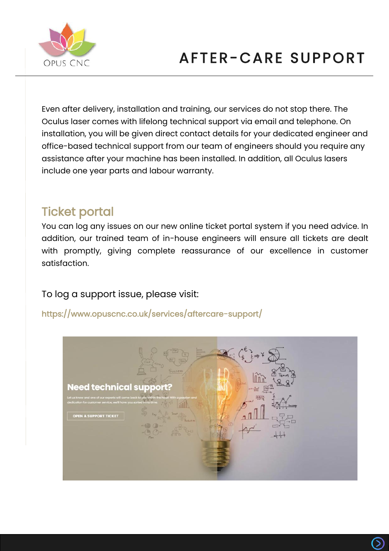

## AFTER-CARE SUPPORT

Even after delivery, installation and training, our services do not stop there. The Oculus laser comes with lifelong technical support via email and telephone. On installation, you will be given direct contact details for your dedicated engineer and office-based technical support from our team of engineers should you require any assistance after your machine has been installed. In addition, all Oculus lasers include one year parts and labour warranty.

### Ticket portal

You can log any issues on our new online ticket portal system if you need advice. In addition, our trained team of in-house engineers will ensure all tickets are dealt with promptly, giving complete reassurance of our excellence in customer satisfaction.

#### To log a support issue, please visit:

<https://www.opuscnc.co.uk/services/aftercare-support/>